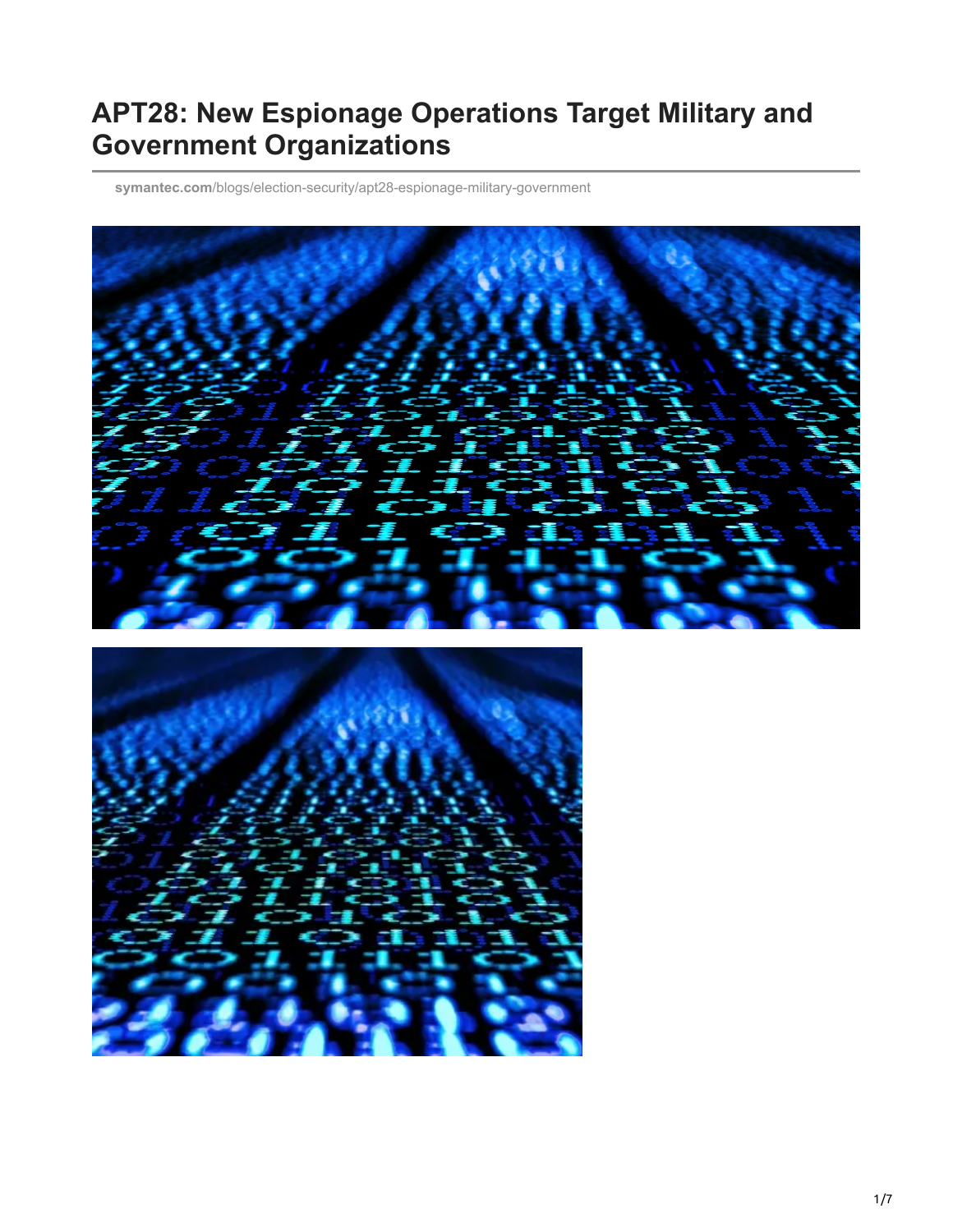# **APT28: New Espionage Operations Target Military and Government Organizations**

**symantec.com**[/blogs/election-security/apt28-espionage-military-government](https://www.symantec.com/blogs/election-security/apt28-espionage-military-government)



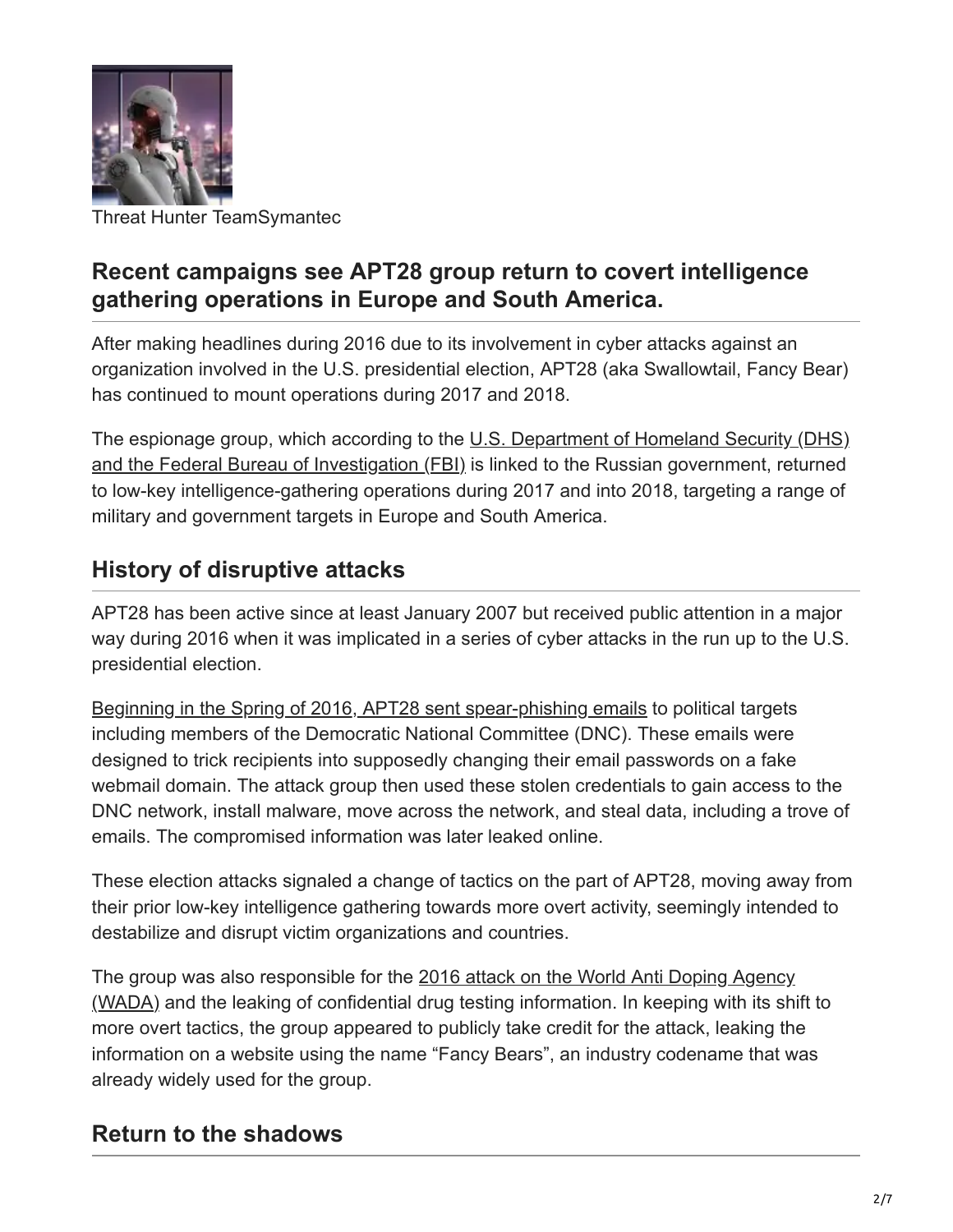

Threat Hunter TeamSymantec

#### **Recent campaigns see APT28 group return to covert intelligence gathering operations in Europe and South America.**

After making headlines during 2016 due to its involvement in cyber attacks against an organization involved in the U.S. presidential election, APT28 (aka Swallowtail, Fancy Bear) has continued to mount operations during 2017 and 2018.

[The espionage group, which according to the U.S. Department of Homeland Security \(DHS\)](https://www.us-cert.gov/sites/default/files/publications/JAR_16-20296A_GRIZZLY%20STEPPE-2016-1229.pdf) and the Federal Bureau of Investigation (FBI) is linked to the Russian government, returned to low-key intelligence-gathering operations during 2017 and into 2018, targeting a range of military and government targets in Europe and South America.

#### **History of disruptive attacks**

APT28 has been active since at least January 2007 but received public attention in a major way during 2016 when it was implicated in a series of cyber attacks in the run up to the U.S. presidential election.

[Beginning in the Spring of 2016, APT28 sent spear-phishing emails](https://www.us-cert.gov/sites/default/files/publications/JAR_16-20296A_GRIZZLY%20STEPPE-2016-1229.pdf) to political targets including members of the Democratic National Committee (DNC). These emails were designed to trick recipients into supposedly changing their email passwords on a fake webmail domain. The attack group then used these stolen credentials to gain access to the DNC network, install malware, move across the network, and steal data, including a trove of emails. The compromised information was later leaked online.

These election attacks signaled a change of tactics on the part of APT28, moving away from their prior low-key intelligence gathering towards more overt activity, seemingly intended to destabilize and disrupt victim organizations and countries.

[The group was also responsible for the 2016 attack on the World Anti Doping Agency](https://www.wada-ama.org/en/media/news/2016-09/wada-confirms-attack-by-russian-cyber-espionage-group) (WADA) and the leaking of confidential drug testing information. In keeping with its shift to more overt tactics, the group appeared to publicly take credit for the attack, leaking the information on a website using the name "Fancy Bears", an industry codename that was already widely used for the group.

#### **Return to the shadows**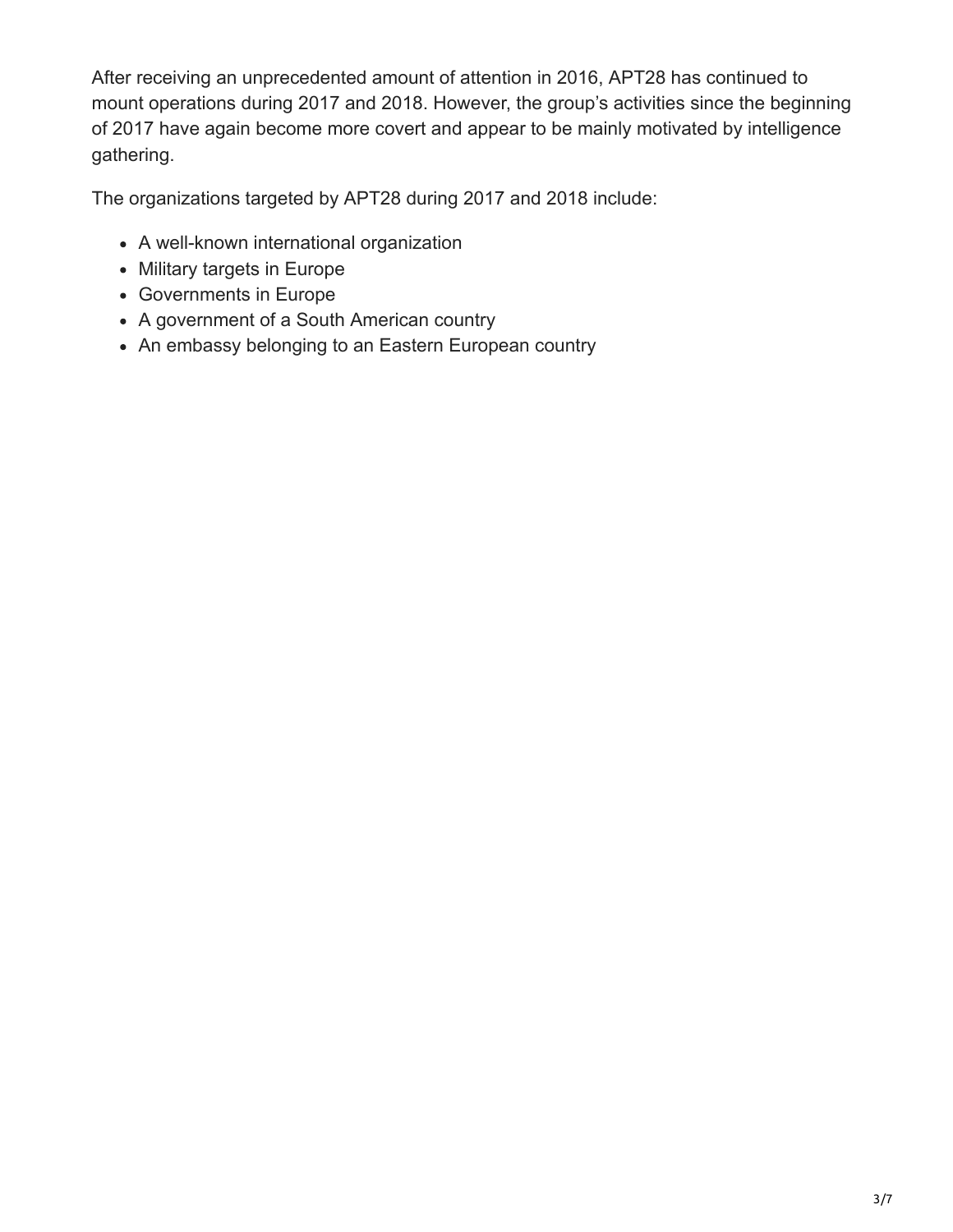After receiving an unprecedented amount of attention in 2016, APT28 has continued to mount operations during 2017 and 2018. However, the group's activities since the beginning of 2017 have again become more covert and appear to be mainly motivated by intelligence gathering.

The organizations targeted by APT28 during 2017 and 2018 include:

- A well-known international organization
- Military targets in Europe
- Governments in Europe
- A government of a South American country
- An embassy belonging to an Eastern European country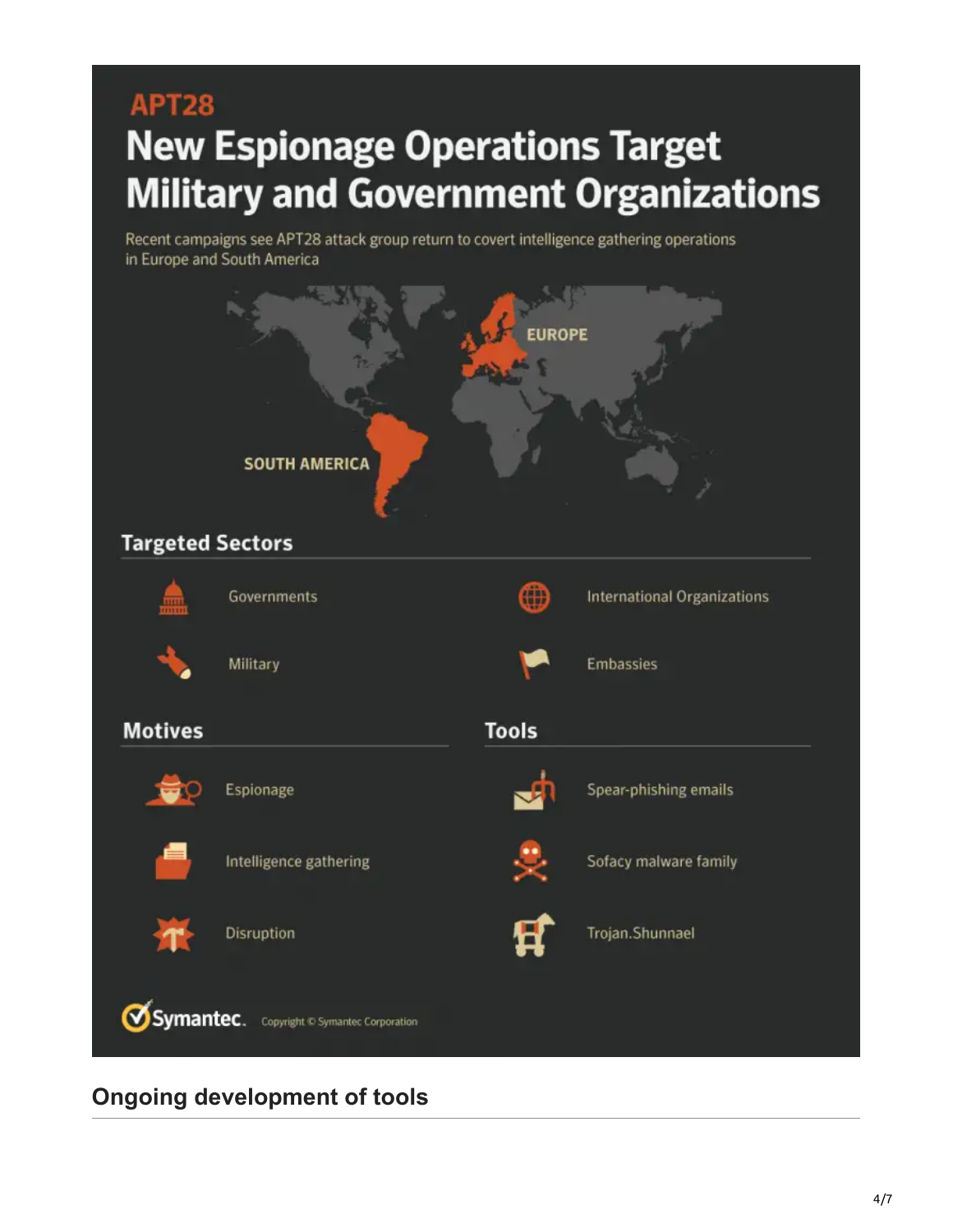# **APT28 New Espionage Operations Target Military and Government Organizations**

Recent campaigns see APT28 attack group return to covert intelligence gathering operations in Europe and South America



**Ongoing development of tools**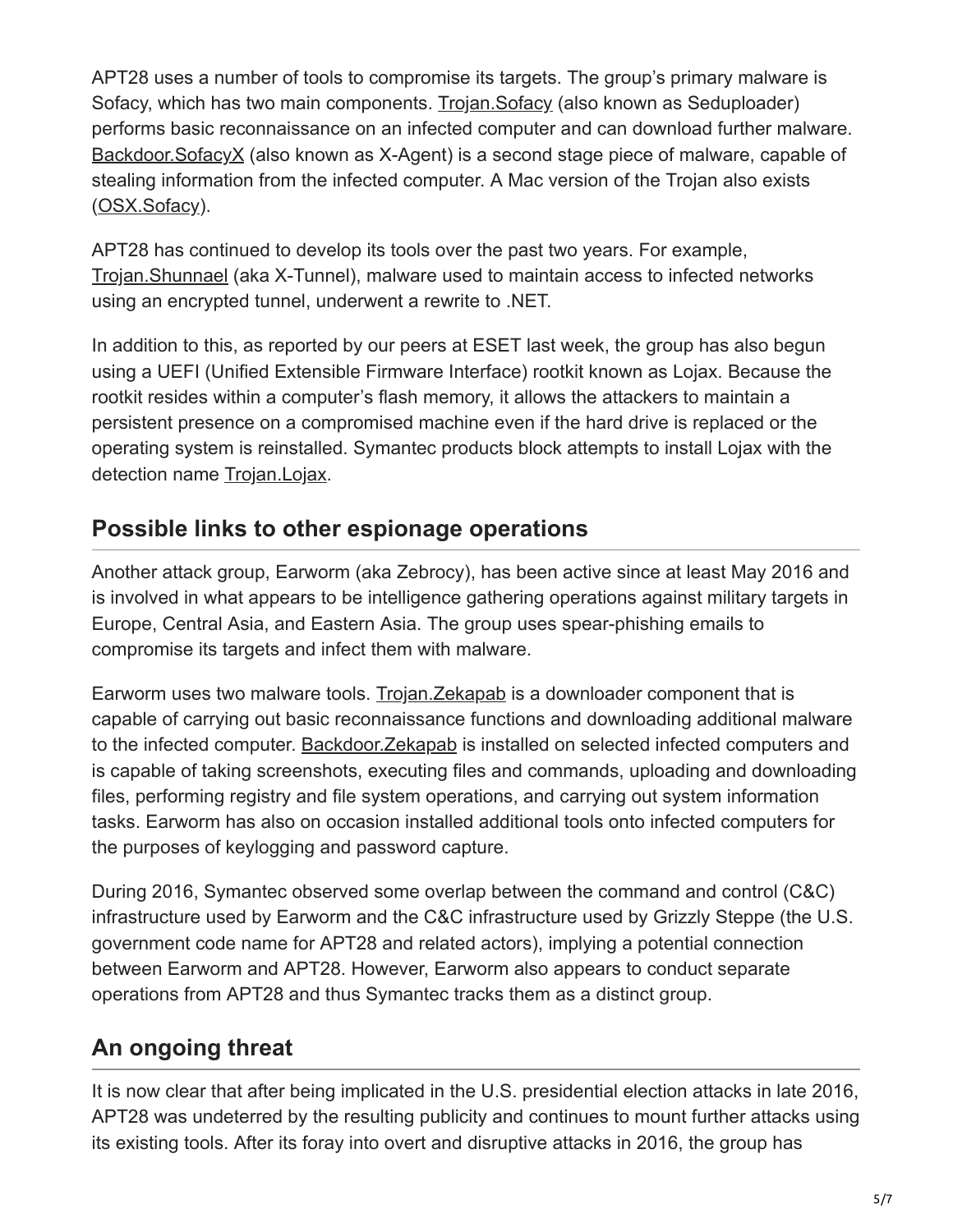APT28 uses a number of tools to compromise its targets. The group's primary malware is Sofacy, which has two main components. [Trojan.Sofacy](https://www.symantec.com/security-center/writeup/2014-110315-1233-99) (also known as Seduploader) performs basic reconnaissance on an infected computer and can download further malware. [Backdoor.SofacyX](https://www.symantec.com/security-center/writeup/2018-092116-1134-99) (also known as X-Agent) is a second stage piece of malware, capable of stealing information from the infected computer. A Mac version of the Trojan also exists ([OSX.Sofacy](https://www.symantec.com/security-center/writeup/2015-070321-4319-99)).

APT28 has continued to develop its tools over the past two years. For example, [Trojan.Shunnael](https://www.symantec.com/security-center/writeup/2015-062518-5557-99) (aka X-Tunnel), malware used to maintain access to infected networks using an encrypted tunnel, underwent a rewrite to .NET.

In addition to this, as reported by our peers at ESET last week, the group has also begun using a UEFI (Unified Extensible Firmware Interface) rootkit known as Lojax. Because the rootkit resides within a computer's flash memory, it allows the attackers to maintain a persistent presence on a compromised machine even if the hard drive is replaced or the operating system is reinstalled. Symantec products block attempts to install Lojax with the detection name [Trojan.Lojax.](https://www.symantec.com/security-center/writeup/2018-100210-3030-99?om_rssid=sr-mixed30days)

#### **Possible links to other espionage operations**

Another attack group, Earworm (aka Zebrocy), has been active since at least May 2016 and is involved in what appears to be intelligence gathering operations against military targets in Europe, Central Asia, and Eastern Asia. The group uses spear-phishing emails to compromise its targets and infect them with malware.

Earworm uses two malware tools. [Trojan.Zekapab](https://www.symantec.com/security-center/writeup/2016-052615-4530-99) is a downloader component that is capable of carrying out basic reconnaissance functions and downloading additional malware to the infected computer. [Backdoor.Zekapab](https://www.symantec.com/security-center/writeup/2016-052619-1441-99) is installed on selected infected computers and is capable of taking screenshots, executing files and commands, uploading and downloading files, performing registry and file system operations, and carrying out system information tasks. Earworm has also on occasion installed additional tools onto infected computers for the purposes of keylogging and password capture.

During 2016, Symantec observed some overlap between the command and control (C&C) infrastructure used by Earworm and the C&C infrastructure used by Grizzly Steppe (the U.S. government code name for APT28 and related actors), implying a potential connection between Earworm and APT28. However, Earworm also appears to conduct separate operations from APT28 and thus Symantec tracks them as a distinct group.

## **An ongoing threat**

It is now clear that after being implicated in the U.S. presidential election attacks in late 2016, APT28 was undeterred by the resulting publicity and continues to mount further attacks using its existing tools. After its foray into overt and disruptive attacks in 2016, the group has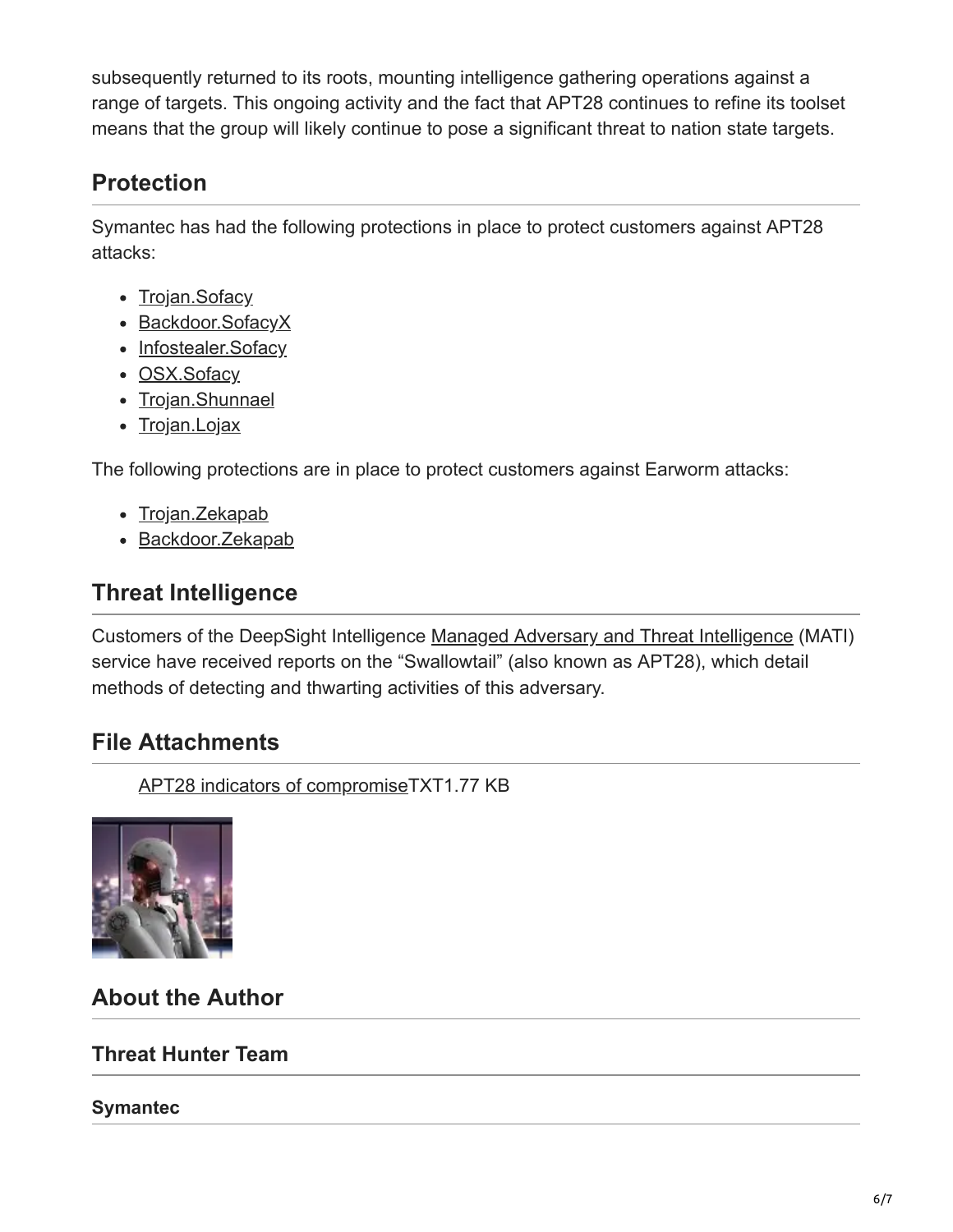subsequently returned to its roots, mounting intelligence gathering operations against a range of targets. This ongoing activity and the fact that APT28 continues to refine its toolset means that the group will likely continue to pose a significant threat to nation state targets.

#### **Protection**

Symantec has had the following protections in place to protect customers against APT28 attacks:

- [Trojan.Sofacy](https://www.symantec.com/security-center/writeup/2014-110315-1233-99)
- [Backdoor.SofacyX](https://www.symantec.com/security-center/writeup/2018-092116-1134-99)
- [Infostealer.Sofacy](https://www.symantec.com/security-center/writeup/2011-090714-2907-99)
- [OSX.Sofacy](https://www.symantec.com/security-center/writeup/2015-070321-4319-99)
- [Trojan.Shunnael](https://www.symantec.com/security-center/writeup/2015-062518-5557-99)
- [Trojan.Lojax](https://www.symantec.com/security-center/writeup/2018-100210-3030-99?om_rssid=sr-mixed30days)

The following protections are in place to protect customers against Earworm attacks:

- [Trojan.Zekapab](https://www.symantec.com/security-center/writeup/2016-052615-4530-99)
- [Backdoor.Zekapab](https://www.symantec.com/security-center/writeup/2016-052619-1441-99)

#### **Threat Intelligence**

Customers of the DeepSight Intelligence [Managed Adversary and Threat Intelligence](https://www.symantec.com/services/cyber-security-services/deepsight-intelligence/adversary) (MATI) service have received reports on the "Swallowtail" (also known as APT28), which detail methods of detecting and thwarting activities of this adversary.

#### **File Attachments**

[APT28 indicators of compromise](https://symantec-enterprise-blogs.security.com/sites/default/files/2018-10/APT28_IOCs.txt)TXT1.77 KB



### **About the Author**

#### **Threat Hunter Team**

#### **Symantec**